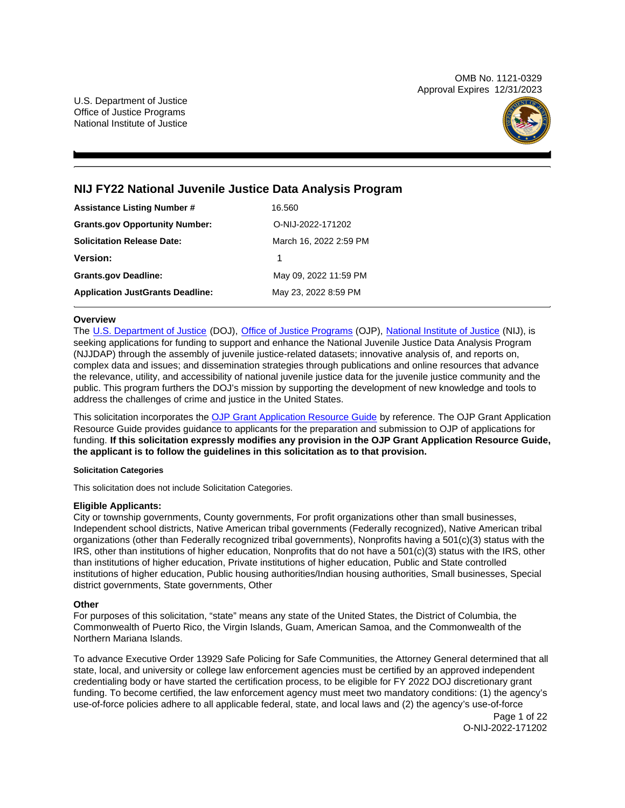OMB No. 1121-0329 Approval Expires 12/31/2023

U.S. Department of Justice Office of Justice Programs National Institute of Justice



# **NIJ FY22 National Juvenile Justice Data Analysis Program**

| <b>Assistance Listing Number #</b>      | 16.560                 |
|-----------------------------------------|------------------------|
| <b>Grants.gov Opportunity Number:</b>   | O-NIJ-2022-171202      |
| <b>Solicitation Release Date:</b>       | March 16, 2022 2:59 PM |
| <b>Version:</b>                         | 1                      |
| <b>Grants.gov Deadline:</b>             | May 09, 2022 11:59 PM  |
| <b>Application JustGrants Deadline:</b> | May 23, 2022 8:59 PM   |

### **Overview**

The [U.S. Department of Justice](https://www.usdoj.gov/) (DOJ), [Office of Justice Programs](https://www.ojp.usdoj.gov/) (OJP), [National Institute of Justice](https://nij.ojp.gov/) (NIJ), is seeking applications for funding to support and enhance the National Juvenile Justice Data Analysis Program (NJJDAP) through the assembly of juvenile justice-related datasets; innovative analysis of, and reports on, complex data and issues; and dissemination strategies through publications and online resources that advance the relevance, utility, and accessibility of national juvenile justice data for the juvenile justice community and the public. This program furthers the DOJ's mission by supporting the development of new knowledge and tools to address the challenges of crime and justice in the United States.

This solicitation incorporates the [OJP Grant Application Resource Guide](https://www.ojp.gov/funding/Apply/Resources/Grant-App-Resource-Guide.htm) by reference. The OJP Grant Application Resource Guide provides guidance to applicants for the preparation and submission to OJP of applications for funding. **If this solicitation expressly modifies any provision in the OJP Grant Application Resource Guide, the applicant is to follow the guidelines in this solicitation as to that provision.** 

### **Solicitation Categories**

This solicitation does not include Solicitation Categories.

### **Eligible Applicants:**

City or township governments, County governments, For profit organizations other than small businesses, Independent school districts, Native American tribal governments (Federally recognized), Native American tribal organizations (other than Federally recognized tribal governments), Nonprofits having a 501(c)(3) status with the IRS, other than institutions of higher education, Nonprofits that do not have a 501(c)(3) status with the IRS, other than institutions of higher education, Private institutions of higher education, Public and State controlled institutions of higher education, Public housing authorities/Indian housing authorities, Small businesses, Special district governments, State governments, Other

### **Other**

For purposes of this solicitation, "state" means any state of the United States, the District of Columbia, the Commonwealth of Puerto Rico, the Virgin Islands, Guam, American Samoa, and the Commonwealth of the Northern Mariana Islands.

To advance Executive Order 13929 Safe Policing for Safe Communities, the Attorney General determined that all state, local, and university or college law enforcement agencies must be certified by an approved independent credentialing body or have started the certification process, to be eligible for FY 2022 DOJ discretionary grant funding. To become certified, the law enforcement agency must meet two mandatory conditions: (1) the agency's use-of-force policies adhere to all applicable federal, state, and local laws and (2) the agency's use-of-force

Page 1 of 22 O-NIJ-2022-171202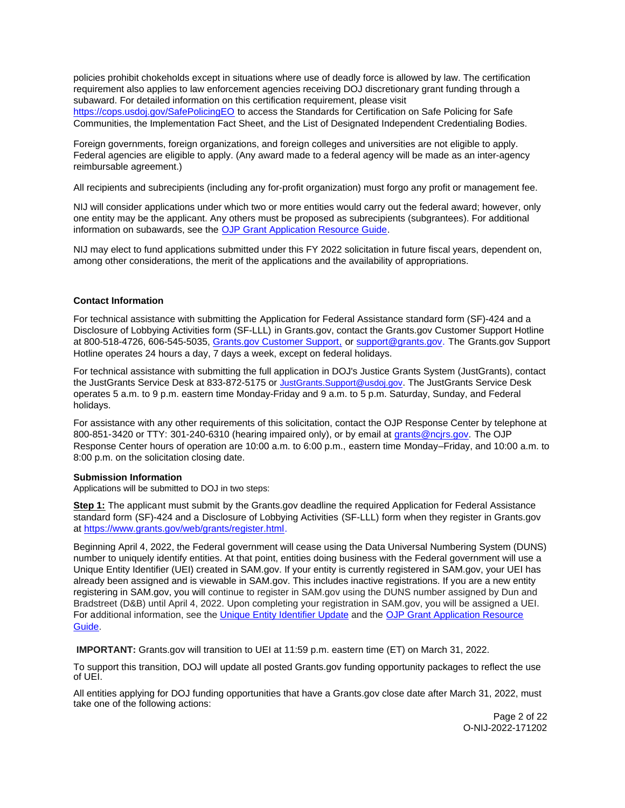<span id="page-1-0"></span>policies prohibit chokeholds except in situations where use of deadly force is allowed by law. The certification requirement also applies to law enforcement agencies receiving DOJ discretionary grant funding through a subaward. For detailed information on this certification requirement, please visit [https://cops.usdoj.gov/SafePolicingEO](https://cops.usdoj.gov/SafePolicingEO%20) to access the Standards for Certification on Safe Policing for Safe Communities, the Implementation Fact Sheet, and the List of Designated Independent Credentialing Bodies.

Foreign governments, foreign organizations, and foreign colleges and universities are not eligible to apply. Federal agencies are eligible to apply. (Any award made to a federal agency will be made as an inter-agency reimbursable agreement.)

All recipients and subrecipients (including any for-profit organization) must forgo any profit or management fee.

NIJ will consider applications under which two or more entities would carry out the federal award; however, only one entity may be the applicant. Any others must be proposed as subrecipients (subgrantees). For additional information on subawards, see the [OJP Grant Application Resource Guide.](https://www.ojp.gov/funding/Apply/Resources/Grant-App-Resource-Guide.htm)

NIJ may elect to fund applications submitted under this FY 2022 solicitation in future fiscal years, dependent on, among other considerations, the merit of the applications and the availability of appropriations.

### **Contact Information**

For technical assistance with submitting the Application for Federal Assistance standard form (SF)-424 and a Disclosure of Lobbying Activities form (SF-LLL) in [Grants.gov,](https://Grants.gov) contact the [Grants.gov](https://Grants.gov) Customer Support Hotline at 800-518-4726, 606-545-5035, [Grants.gov Customer Support,](https://www.grants.gov/web/grants/support.html) or [support@grants.gov.](mailto:support@grants.gov) The [Grants.gov](https://Grants.gov) Support Hotline operates 24 hours a day, 7 days a week, except on federal holidays.

For technical assistance with submitting the full application in DOJ's Justice Grants System (JustGrants), contact the JustGrants Service Desk at 833-872-5175 or [JustGrants.Support@usdoj.gov.](mailto:JustGrants.Support@usdoj.gov) The JustGrants Service Desk operates 5 a.m. to 9 p.m. eastern time Monday-Friday and 9 a.m. to 5 p.m. Saturday, Sunday, and Federal holidays.

For assistance with any other requirements of this solicitation, contact the OJP Response Center by telephone at 800-851-3420 or TTY: 301-240-6310 (hearing impaired only), or by email at [grants@ncjrs.gov.](mailto:grants@ncjrs.gov) The OJP Response Center hours of operation are 10:00 a.m. to 6:00 p.m., eastern time Monday–Friday, and 10:00 a.m. to 8:00 p.m. on the solicitation closing date.

### **Submission Information**

Applications will be submitted to DOJ in two steps:

**Step 1:** The applicant must submit by the [Grants.gov](https://Grants.gov) deadline the required Application for Federal Assistance standard form (SF)-424 and a Disclosure of Lobbying Activities (SF-LLL) form when they register in [Grants.gov](https://Grants.gov)  at [https://www.grants.gov/web/grants/register.html.](https://www.grants.gov/web/grants/register.html)

Beginning April 4, 2022, the Federal government will cease using the Data Universal Numbering System (DUNS) number to uniquely identify entities. At that point, entities doing business with the Federal government will use a Unique Entity Identifier (UEI) created in SAM.gov. If your entity is currently registered in SAM.gov, your UEI has already been assigned and is viewable in SAM.gov. This includes inactive registrations. If you are a new entity registering in SAM.gov, you will continue to register in SAM.gov using the DUNS number assigned by Dun and Bradstreet (D&B) until April 4, 2022. Upon completing your registration in SAM.gov, you will be assigned a UEI. For additional information, see the [Unique Entity Identifier Update](https://www.gsa.gov/about-us/organization/federal-acquisition-service/office-of-systems-management/integrated-award-environment-iae/iae-systems-information-kit/unique-entity-identifier-update) and the [OJP Grant Application Resource](https://www.ojp.gov/funding/apply/ojp-grant-application-resource-guide#unique-entity)  [Guide.](https://www.ojp.gov/funding/apply/ojp-grant-application-resource-guide#unique-entity)

**IMPORTANT:** [Grants.gov](https://Grants.gov) will transition to UEI at 11:59 p.m. eastern time (ET) on March 31, 2022.

To support this transition, DOJ will update all posted [Grants.gov](https://Grants.gov) funding opportunity packages to reflect the use of UEI.

All entities applying for DOJ funding opportunities that have a [Grants.gov](https://Grants.gov) close date after March 31, 2022, must take one of the following actions:

> Page 2 of 22 O-NIJ-2022-171202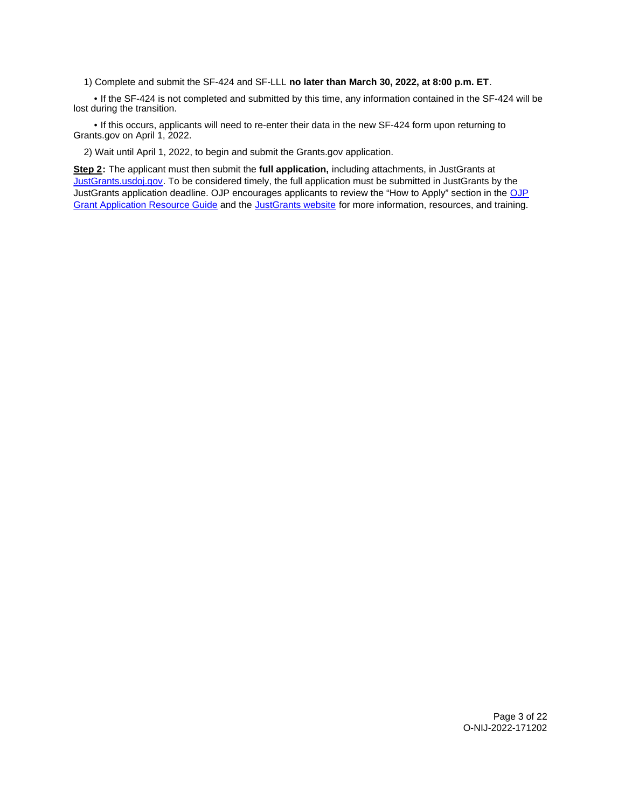1) Complete and submit the SF-424 and SF-LLL **no later than March 30, 2022, at 8:00 p.m. ET**.

 • If the SF-424 is not completed and submitted by this time, any information contained in the SF-424 will be lost during the transition.

 • If this occurs, applicants will need to re-enter their data in the new SF-424 form upon returning to [Grants.gov](https://Grants.gov) on April 1, 2022.

2) Wait until April 1, 2022, to begin and submit the [Grants.gov](https://Grants.gov) application.

**Step 2:** The applicant must then submit the **full application,** including attachments, in JustGrants at [JustGrants.usdoj.gov.](https://justicegrants.usdoj.gov/) To be considered timely, the full application must be submitted in JustGrants by the JustGrants application deadline. OJP encourages applicants to review the "How to Apply" section in the [OJP](https://www.ojp.gov/funding/apply/ojp-grant-application-resource-guide#apply)  [Grant Application Resource Guide](https://www.ojp.gov/funding/apply/ojp-grant-application-resource-guide#apply) and the [JustGrants website](https://justicegrants.usdoj.gov/news) for more information, resources, and training.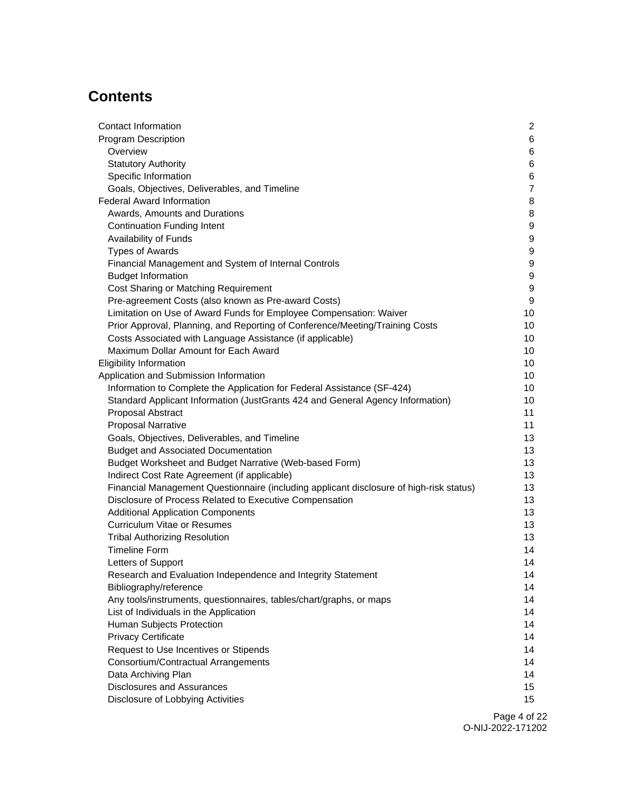# **Contents**

| <b>Contact Information</b>                                                              | $\overline{2}$   |
|-----------------------------------------------------------------------------------------|------------------|
| <b>Program Description</b>                                                              | 6                |
| Overview                                                                                | 6                |
| <b>Statutory Authority</b>                                                              | 6                |
| Specific Information                                                                    | $\,6$            |
| Goals, Objectives, Deliverables, and Timeline                                           | $\overline{7}$   |
| Federal Award Information                                                               | 8                |
| Awards, Amounts and Durations                                                           | 8                |
| <b>Continuation Funding Intent</b>                                                      | $\boldsymbol{9}$ |
| Availability of Funds                                                                   | $\boldsymbol{9}$ |
| <b>Types of Awards</b>                                                                  | $\boldsymbol{9}$ |
| Financial Management and System of Internal Controls                                    | $\boldsymbol{9}$ |
| <b>Budget Information</b>                                                               | $\boldsymbol{9}$ |
| Cost Sharing or Matching Requirement                                                    | 9                |
| Pre-agreement Costs (also known as Pre-award Costs)                                     | 9                |
| Limitation on Use of Award Funds for Employee Compensation: Waiver                      | 10               |
| Prior Approval, Planning, and Reporting of Conference/Meeting/Training Costs            | 10               |
| Costs Associated with Language Assistance (if applicable)                               | 10               |
| Maximum Dollar Amount for Each Award                                                    | 10               |
| <b>Eligibility Information</b>                                                          | 10               |
| Application and Submission Information                                                  | 10               |
| Information to Complete the Application for Federal Assistance (SF-424)                 | 10               |
| Standard Applicant Information (JustGrants 424 and General Agency Information)          | 10               |
| Proposal Abstract                                                                       | 11               |
| <b>Proposal Narrative</b>                                                               | 11               |
| Goals, Objectives, Deliverables, and Timeline                                           | 13               |
| <b>Budget and Associated Documentation</b>                                              | 13               |
| Budget Worksheet and Budget Narrative (Web-based Form)                                  | 13               |
| Indirect Cost Rate Agreement (if applicable)                                            | 13               |
| Financial Management Questionnaire (including applicant disclosure of high-risk status) | 13               |
| Disclosure of Process Related to Executive Compensation                                 | 13               |
| <b>Additional Application Components</b>                                                | 13               |
| <b>Curriculum Vitae or Resumes</b>                                                      | 13               |
| <b>Tribal Authorizing Resolution</b>                                                    | 13               |
| <b>Timeline Form</b>                                                                    | 14               |
| Letters of Support                                                                      | 14               |
| Research and Evaluation Independence and Integrity Statement                            | 14               |
| Bibliography/reference                                                                  | 14               |
| Any tools/instruments, questionnaires, tables/chart/graphs, or maps                     | 14               |
| List of Individuals in the Application                                                  | 14               |
| Human Subjects Protection                                                               | 14               |
| <b>Privacy Certificate</b>                                                              | 14               |
| Request to Use Incentives or Stipends                                                   | 14               |
| Consortium/Contractual Arrangements                                                     | 14               |
| Data Archiving Plan                                                                     | 14               |
| <b>Disclosures and Assurances</b>                                                       | 15               |
| Disclosure of Lobbying Activities                                                       | 15               |
|                                                                                         |                  |

Page 4 of 22 O-NIJ-2022-171202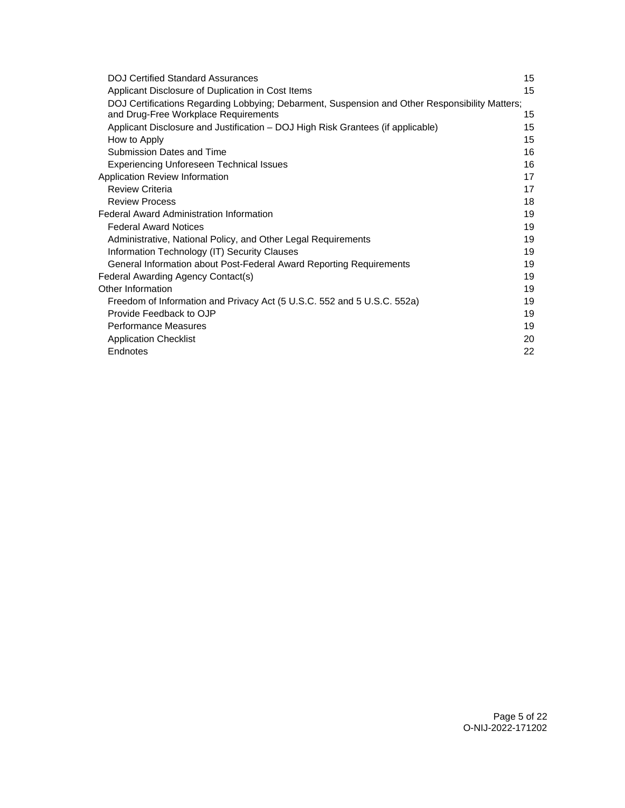| <b>DOJ Certified Standard Assurances</b>                                                       | 15 |
|------------------------------------------------------------------------------------------------|----|
| Applicant Disclosure of Duplication in Cost Items                                              | 15 |
| DOJ Certifications Regarding Lobbying; Debarment, Suspension and Other Responsibility Matters; |    |
| and Drug-Free Workplace Requirements                                                           | 15 |
| Applicant Disclosure and Justification - DOJ High Risk Grantees (if applicable)                | 15 |
| How to Apply                                                                                   | 15 |
| Submission Dates and Time                                                                      | 16 |
| <b>Experiencing Unforeseen Technical Issues</b>                                                | 16 |
| Application Review Information                                                                 | 17 |
| <b>Review Criteria</b>                                                                         | 17 |
| <b>Review Process</b>                                                                          | 18 |
| <b>Federal Award Administration Information</b>                                                | 19 |
| <b>Federal Award Notices</b>                                                                   | 19 |
| Administrative, National Policy, and Other Legal Requirements                                  | 19 |
| Information Technology (IT) Security Clauses                                                   | 19 |
| General Information about Post-Federal Award Reporting Requirements                            | 19 |
| Federal Awarding Agency Contact(s)                                                             | 19 |
| Other Information                                                                              | 19 |
| Freedom of Information and Privacy Act (5 U.S.C. 552 and 5 U.S.C. 552a)                        | 19 |
| Provide Feedback to OJP                                                                        | 19 |
| <b>Performance Measures</b>                                                                    | 19 |
| <b>Application Checklist</b>                                                                   | 20 |
| Endnotes                                                                                       | 22 |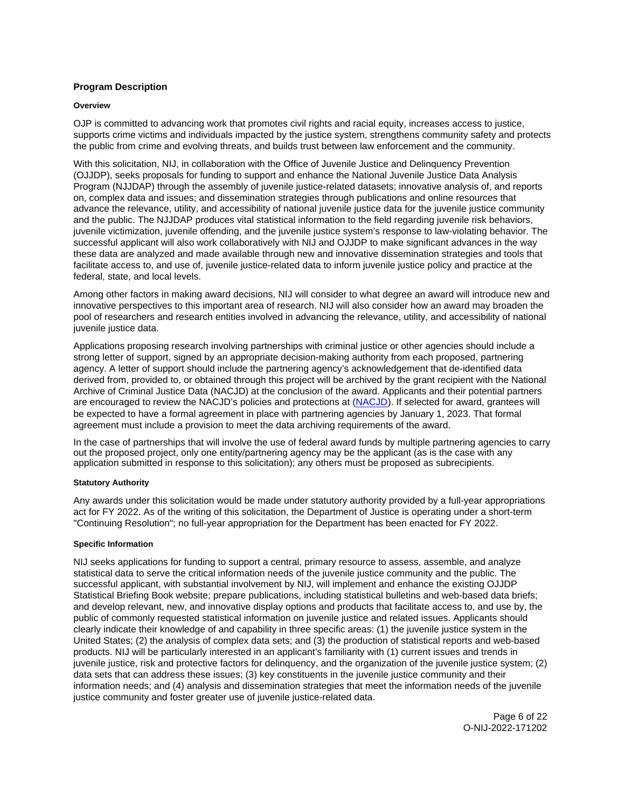# <span id="page-5-0"></span>**Program Description**

### **Overview**

OJP is committed to advancing work that promotes civil rights and racial equity, increases access to justice, supports crime victims and individuals impacted by the justice system, strengthens community safety and protects the public from crime and evolving threats, and builds trust between law enforcement and the community.

With this solicitation, NIJ, in collaboration with the Office of Juvenile Justice and Delinquency Prevention (OJJDP), seeks proposals for funding to support and enhance the National Juvenile Justice Data Analysis Program (NJJDAP) through the assembly of juvenile justice-related datasets; innovative analysis of, and reports on, complex data and issues; and dissemination strategies through publications and online resources that advance the relevance, utility, and accessibility of national juvenile justice data for the juvenile justice community and the public. The NJJDAP produces vital statistical information to the field regarding juvenile risk behaviors, juvenile victimization, juvenile offending, and the juvenile justice system's response to law-violating behavior. The successful applicant will also work collaboratively with NIJ and OJJDP to make significant advances in the way these data are analyzed and made available through new and innovative dissemination strategies and tools that facilitate access to, and use of, juvenile justice-related data to inform juvenile justice policy and practice at the federal, state, and local levels.

Among other factors in making award decisions, NIJ will consider to what degree an award will introduce new and innovative perspectives to this important area of research. NIJ will also consider how an award may broaden the pool of researchers and research entities involved in advancing the relevance, utility, and accessibility of national juvenile justice data.

Applications proposing research involving partnerships with criminal justice or other agencies should include a strong letter of support, signed by an appropriate decision-making authority from each proposed, partnering agency. A letter of support should include the partnering agency's acknowledgement that de-identified data derived from, provided to, or obtained through this project will be archived by the grant recipient with the National Archive of Criminal Justice Data (NACJD) at the conclusion of the award. Applicants and their potential partners are encouraged to review the NACJD's policies and protections at ([NACJD\)](https://www.icpsr.umich.edu/web/pages/NACJD/archiving/deposit-nij-data.html). If selected for award, grantees will be expected to have a formal agreement in place with partnering agencies by January 1, 2023. That formal agreement must include a provision to meet the data archiving requirements of the award.

In the case of partnerships that will involve the use of federal award funds by multiple partnering agencies to carry out the proposed project, only one entity/partnering agency may be the applicant (as is the case with any application submitted in response to this solicitation); any others must be proposed as subrecipients.

### **Statutory Authority**

Any awards under this solicitation would be made under statutory authority provided by a full-year appropriations act for FY 2022. As of the writing of this solicitation, the Department of Justice is operating under a short-term "Continuing Resolution"; no full-year appropriation for the Department has been enacted for FY 2022.

### **Specific Information**

NIJ seeks applications for funding to support a central, primary resource to assess, assemble, and analyze statistical data to serve the critical information needs of the juvenile justice community and the public. The successful applicant, with substantial involvement by NIJ, will implement and enhance the existing OJJDP Statistical Briefing Book website; prepare publications, including statistical bulletins and web-based data briefs; and develop relevant, new, and innovative display options and products that facilitate access to, and use by, the public of commonly requested statistical information on juvenile justice and related issues. Applicants should clearly indicate their knowledge of and capability in three specific areas: (1) the juvenile justice system in the United States; (2) the analysis of complex data sets; and (3) the production of statistical reports and web-based products. NIJ will be particularly interested in an applicant's familiarity with (1) current issues and trends in juvenile justice, risk and protective factors for delinquency, and the organization of the juvenile justice system; (2) data sets that can address these issues; (3) key constituents in the juvenile justice community and their information needs; and (4) analysis and dissemination strategies that meet the information needs of the juvenile justice community and foster greater use of juvenile justice-related data.

> Page 6 of 22 O-NIJ-2022-171202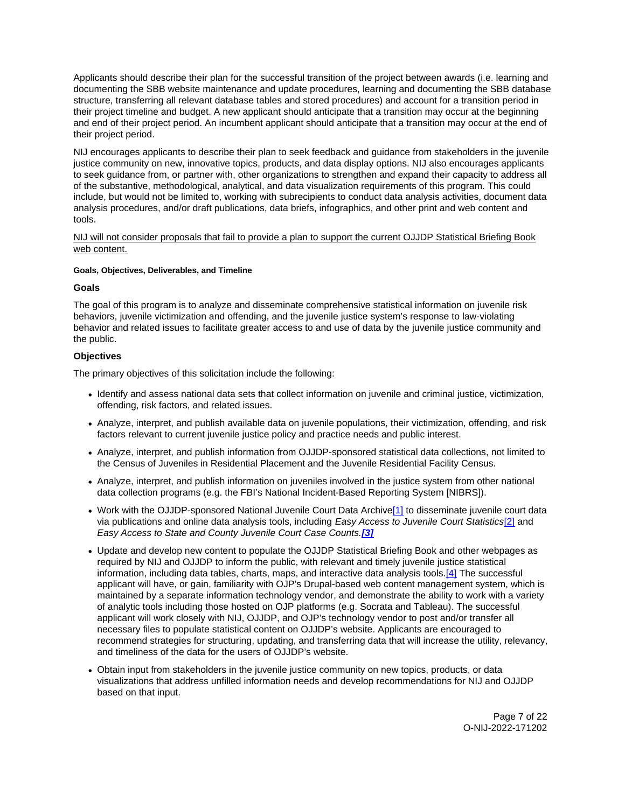<span id="page-6-0"></span>Applicants should describe their plan for the successful transition of the project between awards (i.e. learning and documenting the SBB website maintenance and update procedures, learning and documenting the SBB database structure, transferring all relevant database tables and stored procedures) and account for a transition period in their project timeline and budget. A new applicant should anticipate that a transition may occur at the beginning and end of their project period. An incumbent applicant should anticipate that a transition may occur at the end of their project period.

NIJ encourages applicants to describe their plan to seek feedback and guidance from stakeholders in the juvenile justice community on new, innovative topics, products, and data display options. NIJ also encourages applicants to seek guidance from, or partner with, other organizations to strengthen and expand their capacity to address all of the substantive, methodological, analytical, and data visualization requirements of this program. This could include, but would not be limited to, working with subrecipients to conduct data analysis activities, document data analysis procedures, and/or draft publications, data briefs, infographics, and other print and web content and tools.

### NIJ will not consider proposals that fail to provide a plan to support the current OJJDP Statistical Briefing Book web content.

### **Goals, Objectives, Deliverables, and Timeline**

### **Goals**

The goal of this program is to analyze and disseminate comprehensive statistical information on juvenile risk behaviors, juvenile victimization and offending, and the juvenile justice system's response to law-violating behavior and related issues to facilitate greater access to and use of data by the juvenile justice community and the public.

# **Objectives**

The primary objectives of this solicitation include the following:

- Identify and assess national data sets that collect information on juvenile and criminal justice, victimization, offending, risk factors, and related issues.
- Analyze, interpret, and publish available data on juvenile populations, their victimization, offending, and risk factors relevant to current juvenile justice policy and practice needs and public interest.
- Analyze, interpret, and publish information from OJJDP-sponsored statistical data collections, not limited to the Census of Juveniles in Residential Placement and the Juvenile Residential Facility Census.
- Analyze, interpret, and publish information on juveniles involved in the justice system from other national data collection programs (e.g. the FBI's National Incident-Based Reporting System [NIBRS]).
- Work with the OJJDP-sponsored National Juvenile Court Data Archive[\[1\]](#page-21-0) to disseminate juvenile court data via publications and online data analysis tools, including Easy Access to Juvenile Court Statistics[\[2\]](#page-21-0) and Easy Access to State and County Juvenile Court Case Counts.**[\[3\]](#page-21-0)**
- Update and develop new content to populate the OJJDP Statistical Briefing Book and other webpages as required by NIJ and OJJDP to inform the public, with relevant and timely juvenile justice statistical information, including data tables, charts, maps, and interactive data analysis tools.[\[4\]](#page-21-0) The successful applicant will have, or gain, familiarity with OJP's Drupal-based web content management system, which is maintained by a separate information technology vendor, and demonstrate the ability to work with a variety of analytic tools including those hosted on OJP platforms (e.g. Socrata and Tableau). The successful applicant will work closely with NIJ, OJJDP, and OJP's technology vendor to post and/or transfer all necessary files to populate statistical content on OJJDP's website. Applicants are encouraged to recommend strategies for structuring, updating, and transferring data that will increase the utility, relevancy, and timeliness of the data for the users of OJJDP's website.
- Obtain input from stakeholders in the juvenile justice community on new topics, products, or data visualizations that address unfilled information needs and develop recommendations for NIJ and OJJDP based on that input.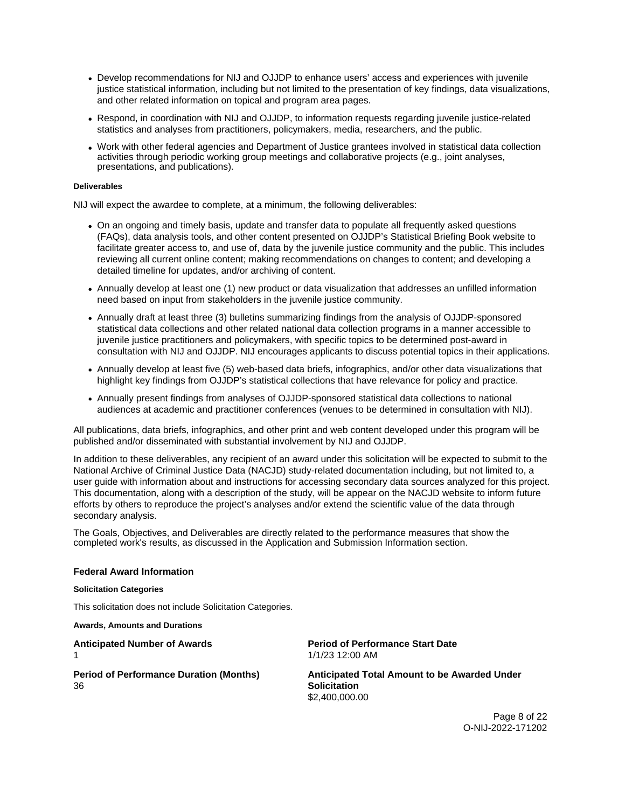- <span id="page-7-0"></span>Develop recommendations for NIJ and OJJDP to enhance users' access and experiences with juvenile justice statistical information, including but not limited to the presentation of key findings, data visualizations, and other related information on topical and program area pages.
- Respond, in coordination with NIJ and OJJDP, to information requests regarding juvenile justice-related statistics and analyses from practitioners, policymakers, media, researchers, and the public.
- Work with other federal agencies and Department of Justice grantees involved in statistical data collection activities through periodic working group meetings and collaborative projects (e.g., joint analyses, presentations, and publications).

### **Deliverables**

NIJ will expect the awardee to complete, at a minimum, the following deliverables:

- On an ongoing and timely basis, update and transfer data to populate all frequently asked questions (FAQs), data analysis tools, and other content presented on OJJDP's Statistical Briefing Book website to facilitate greater access to, and use of, data by the juvenile justice community and the public. This includes reviewing all current online content; making recommendations on changes to content; and developing a detailed timeline for updates, and/or archiving of content.
- Annually develop at least one (1) new product or data visualization that addresses an unfilled information need based on input from stakeholders in the juvenile justice community.
- Annually draft at least three (3) bulletins summarizing findings from the analysis of OJJDP-sponsored statistical data collections and other related national data collection programs in a manner accessible to juvenile justice practitioners and policymakers, with specific topics to be determined post-award in consultation with NIJ and OJJDP. NIJ encourages applicants to discuss potential topics in their applications.
- Annually develop at least five (5) web-based data briefs, infographics, and/or other data visualizations that highlight key findings from OJJDP's statistical collections that have relevance for policy and practice.
- Annually present findings from analyses of OJJDP-sponsored statistical data collections to national audiences at academic and practitioner conferences (venues to be determined in consultation with NIJ).

All publications, data briefs, infographics, and other print and web content developed under this program will be published and/or disseminated with substantial involvement by NIJ and OJJDP.

In addition to these deliverables, any recipient of an award under this solicitation will be expected to submit to the National Archive of Criminal Justice Data (NACJD) study-related documentation including, but not limited to, a user guide with information about and instructions for accessing secondary data sources analyzed for this project. This documentation, along with a description of the study, will be appear on the NACJD website to inform future efforts by others to reproduce the project's analyses and/or extend the scientific value of the data through secondary analysis.

The Goals, Objectives, and Deliverables are directly related to the performance measures that show the completed work's results, as discussed in the Application and Submission Information section.

### **Federal Award Information**

### **Solicitation Categories**

This solicitation does not include Solicitation Categories.

**Awards, Amounts and Durations** 

36 **Solicitation** 

**Anticipated Number of Awards Period of Performance Start Date**  1 1/1/23 12:00 AM

**Period of Performance Duration (Months) Anticipated Total Amount to be Awarded Under**  \$2,400,000.00

> Page 8 of 22 O-NIJ-2022-171202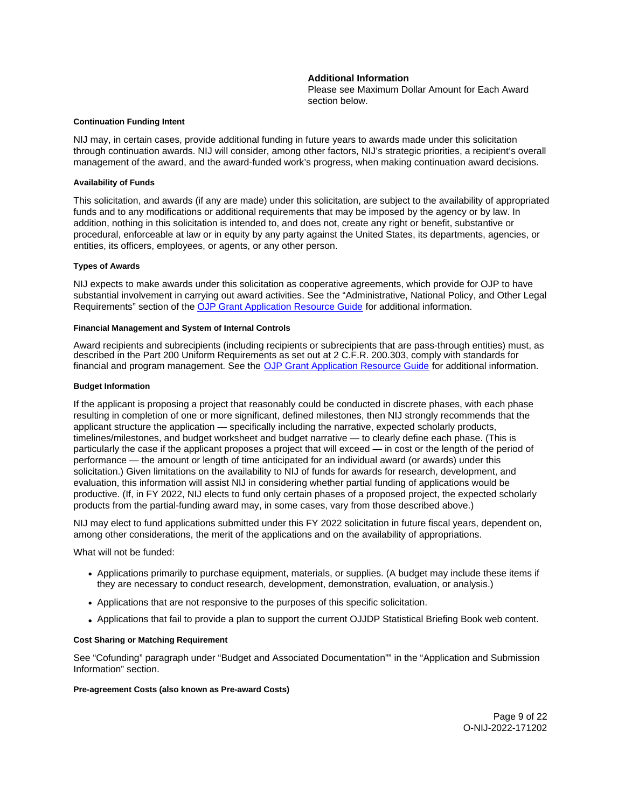### **Additional Information**

Please see Maximum Dollar Amount for Each Award section below.

#### <span id="page-8-0"></span>**Continuation Funding Intent**

NIJ may, in certain cases, provide additional funding in future years to awards made under this solicitation through continuation awards. NIJ will consider, among other factors, NIJ's strategic priorities, a recipient's overall management of the award, and the award-funded work's progress, when making continuation award decisions.

#### **Availability of Funds**

This solicitation, and awards (if any are made) under this solicitation, are subject to the availability of appropriated funds and to any modifications or additional requirements that may be imposed by the agency or by law. In addition, nothing in this solicitation is intended to, and does not, create any right or benefit, substantive or procedural, enforceable at law or in equity by any party against the United States, its departments, agencies, or entities, its officers, employees, or agents, or any other person.

### **Types of Awards**

NIJ expects to make awards under this solicitation as cooperative agreements, which provide for OJP to have substantial involvement in carrying out award activities. See the "Administrative, National Policy, and Other Legal Requirements" section of the [OJP Grant Application Resource Guide](https://www.ojp.gov/funding/apply/ojp-grant-application-resource-guide#administrative) for additional information.

#### **Financial Management and System of Internal Controls**

Award recipients and subrecipients (including recipients or subrecipients that are pass-through entities) must, as described in the Part 200 Uniform Requirements as set out at 2 C.F.R. 200.303, comply with standards for financial and program management. See the [OJP Grant Application Resource Guide](https://www.ojp.gov/funding/apply/ojp-grant-application-resource-guide#fm-internal-controls) for additional information.

#### **Budget Information**

If the applicant is proposing a project that reasonably could be conducted in discrete phases, with each phase resulting in completion of one or more significant, defined milestones, then NIJ strongly recommends that the applicant structure the application — specifically including the narrative, expected scholarly products, timelines/milestones, and budget worksheet and budget narrative — to clearly define each phase. (This is particularly the case if the applicant proposes a project that will exceed — in cost or the length of the period of performance — the amount or length of time anticipated for an individual award (or awards) under this solicitation.) Given limitations on the availability to NIJ of funds for awards for research, development, and evaluation, this information will assist NIJ in considering whether partial funding of applications would be productive. (If, in FY 2022, NIJ elects to fund only certain phases of a proposed project, the expected scholarly products from the partial-funding award may, in some cases, vary from those described above.)

NIJ may elect to fund applications submitted under this FY 2022 solicitation in future fiscal years, dependent on, among other considerations, the merit of the applications and on the availability of appropriations.

What will not be funded:

- Applications primarily to purchase equipment, materials, or supplies. (A budget may include these items if they are necessary to conduct research, development, demonstration, evaluation, or analysis.)
- Applications that are not responsive to the purposes of this specific solicitation.
- Applications that fail to provide a plan to support the current OJJDP Statistical Briefing Book web content.

### **Cost Sharing or Matching Requirement**

See "Cofunding" paragraph under "Budget and Associated Documentation"" in the "Application and Submission Information" section.

### **Pre-agreement Costs (also known as Pre-award Costs)**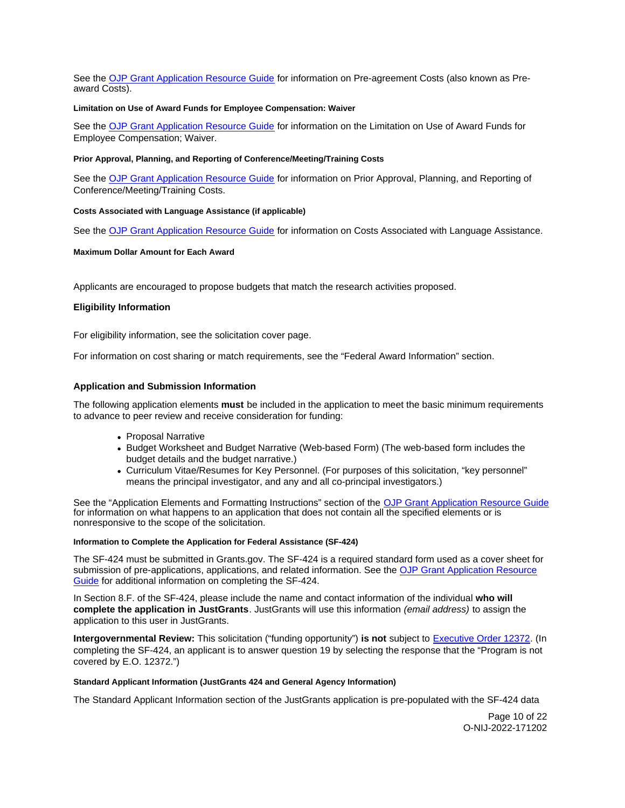<span id="page-9-0"></span>See the [OJP Grant Application Resource Guide](https://www.ojp.gov/funding/apply/ojp-grant-application-resource-guide#pre-agreement-costs) for information on Pre-agreement Costs (also known as Preaward Costs).

### **Limitation on Use of Award Funds for Employee Compensation: Waiver**

See the [OJP Grant Application Resource Guide](https://www.ojp.gov/funding/apply/ojp-grant-application-resource-guide#limitation-use-award) for information on the Limitation on Use of Award Funds for Employee Compensation; Waiver.

### **Prior Approval, Planning, and Reporting of Conference/Meeting/Training Costs**

See the [OJP Grant Application Resource Guide](https://www.ojp.gov/funding/apply/ojp-grant-application-resource-guide#prior-approval) for information on Prior Approval, Planning, and Reporting of Conference/Meeting/Training Costs.

### **Costs Associated with Language Assistance (if applicable)**

See the [OJP Grant Application Resource Guide](https://www.ojp.gov/funding/apply/ojp-grant-application-resource-guide#costs-associated) for information on Costs Associated with Language Assistance.

### **Maximum Dollar Amount for Each Award**

Applicants are encouraged to propose budgets that match the research activities proposed.

### **Eligibility Information**

For eligibility information, see the solicitation cover page.

For information on cost sharing or match requirements, see the "Federal Award Information" section.

### **Application and Submission Information**

The following application elements **must** be included in the application to meet the basic minimum requirements to advance to peer review and receive consideration for funding:

- Proposal Narrative
- Budget Worksheet and Budget Narrative (Web-based Form) (The web-based form includes the budget details and the budget narrative.)
- Curriculum Vitae/Resumes for Key Personnel. (For purposes of this solicitation, "key personnel" means the principal investigator, and any and all co-principal investigators.)

See the "Application Elements and Formatting Instructions" section of the [OJP Grant Application Resource Guide](https://www.ojp.gov/funding/apply/ojp-grant-application-resource-guide#application-elements)  for information on what happens to an application that does not contain all the specified elements or is nonresponsive to the scope of the solicitation.

### **Information to Complete the Application for Federal Assistance (SF-424)**

The SF-424 must be submitted in [Grants.gov.](https://Grants.gov) The SF-424 is a required standard form used as a cover sheet for submission of pre-applications, applications, and related information. See the [OJP Grant Application Resource](https://www.ojp.gov/funding/apply/ojp-grant-application-resource-guide#complete-application)  [Guide](https://www.ojp.gov/funding/apply/ojp-grant-application-resource-guide#complete-application) for additional information on completing the SF-424.

In Section 8.F. of the SF-424, please include the name and contact information of the individual **who will complete the application in JustGrants**. JustGrants will use this information (email address) to assign the application to this user in JustGrants.

**Intergovernmental Review:** This solicitation ("funding opportunity") **is not** subject to [Executive Order 12372.](https://www.archives.gov/federal-register/codification/executive-order/12372.html) (In completing the SF-424, an applicant is to answer question 19 by selecting the response that the "Program is not covered by E.O. 12372.")

### **Standard Applicant Information (JustGrants 424 and General Agency Information)**

The Standard Applicant Information section of the JustGrants application is pre-populated with the SF-424 data

Page 10 of 22 O-NIJ-2022-171202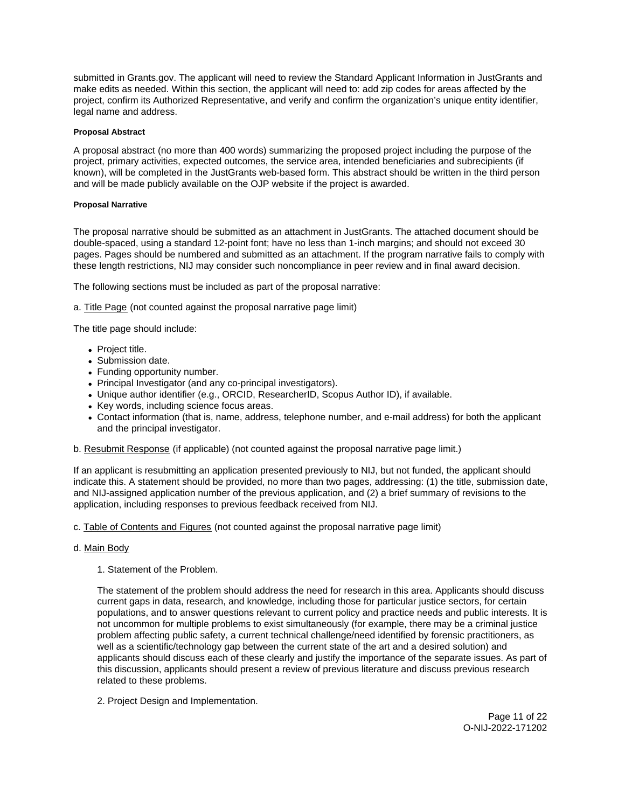<span id="page-10-0"></span>submitted in [Grants.gov](https://Grants.gov). The applicant will need to review the Standard Applicant Information in JustGrants and make edits as needed. Within this section, the applicant will need to: add zip codes for areas affected by the project, confirm its Authorized Representative, and verify and confirm the organization's unique entity identifier, legal name and address.

### **Proposal Abstract**

A proposal abstract (no more than 400 words) summarizing the proposed project including the purpose of the project, primary activities, expected outcomes, the service area, intended beneficiaries and subrecipients (if known), will be completed in the JustGrants web-based form. This abstract should be written in the third person and will be made publicly available on the OJP website if the project is awarded.

### **Proposal Narrative**

The proposal narrative should be submitted as an attachment in JustGrants. The attached document should be double-spaced, using a standard 12-point font; have no less than 1-inch margins; and should not exceed 30 pages. Pages should be numbered and submitted as an attachment. If the program narrative fails to comply with these length restrictions, NIJ may consider such noncompliance in peer review and in final award decision.

The following sections must be included as part of the proposal narrative:

a. Title Page (not counted against the proposal narrative page limit)

The title page should include:

- Project title.
- Submission date.
- Funding opportunity number.
- Principal Investigator (and any co-principal investigators).
- Unique author identifier (e.g., ORCID, ResearcherID, Scopus Author ID), if available.
- Key words, including science focus areas.
- Contact information (that is, name, address, telephone number, and e-mail address) for both the applicant and the principal investigator.

b. Resubmit Response (if applicable) (not counted against the proposal narrative page limit.)

If an applicant is resubmitting an application presented previously to NIJ, but not funded, the applicant should indicate this. A statement should be provided, no more than two pages, addressing: (1) the title, submission date, and NIJ-assigned application number of the previous application, and (2) a brief summary of revisions to the application, including responses to previous feedback received from NIJ.

c. Table of Contents and Figures (not counted against the proposal narrative page limit)

### d. Main Body

1. Statement of the Problem.

The statement of the problem should address the need for research in this area. Applicants should discuss current gaps in data, research, and knowledge, including those for particular justice sectors, for certain populations, and to answer questions relevant to current policy and practice needs and public interests. It is not uncommon for multiple problems to exist simultaneously (for example, there may be a criminal justice problem affecting public safety, a current technical challenge/need identified by forensic practitioners, as well as a scientific/technology gap between the current state of the art and a desired solution) and applicants should discuss each of these clearly and justify the importance of the separate issues. As part of this discussion, applicants should present a review of previous literature and discuss previous research related to these problems.

2. Project Design and Implementation.

Page 11 of 22 O-NIJ-2022-171202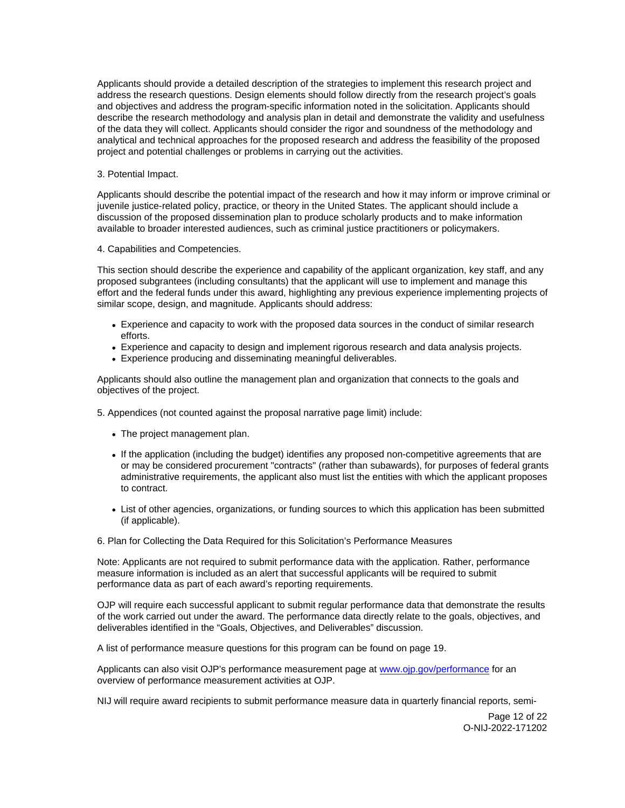Applicants should provide a detailed description of the strategies to implement this research project and address the research questions. Design elements should follow directly from the research project's goals and objectives and address the program-specific information noted in the solicitation. Applicants should describe the research methodology and analysis plan in detail and demonstrate the validity and usefulness of the data they will collect. Applicants should consider the rigor and soundness of the methodology and analytical and technical approaches for the proposed research and address the feasibility of the proposed project and potential challenges or problems in carrying out the activities.

### 3. Potential Impact.

Applicants should describe the potential impact of the research and how it may inform or improve criminal or juvenile justice-related policy, practice, or theory in the United States. The applicant should include a discussion of the proposed dissemination plan to produce scholarly products and to make information available to broader interested audiences, such as criminal justice practitioners or policymakers.

### 4. Capabilities and Competencies.

This section should describe the experience and capability of the applicant organization, key staff, and any proposed subgrantees (including consultants) that the applicant will use to implement and manage this effort and the federal funds under this award, highlighting any previous experience implementing projects of similar scope, design, and magnitude. Applicants should address:

- Experience and capacity to work with the proposed data sources in the conduct of similar research efforts.
- Experience and capacity to design and implement rigorous research and data analysis projects.
- Experience producing and disseminating meaningful deliverables.

Applicants should also outline the management plan and organization that connects to the goals and objectives of the project.

5. Appendices (not counted against the proposal narrative page limit) include:

- The project management plan.
- If the application (including the budget) identifies any proposed non-competitive agreements that are or may be considered procurement "contracts" (rather than subawards), for purposes of federal grants administrative requirements, the applicant also must list the entities with which the applicant proposes to contract.
- List of other agencies, organizations, or funding sources to which this application has been submitted (if applicable).

6. Plan for Collecting the Data Required for this Solicitation's Performance Measures

Note: Applicants are not required to submit performance data with the application. Rather, performance measure information is included as an alert that successful applicants will be required to submit performance data as part of each award's reporting requirements.

OJP will require each successful applicant to submit regular performance data that demonstrate the results of the work carried out under the award. The performance data directly relate to the goals, objectives, and deliverables identified in the "Goals, Objectives, and Deliverables" discussion.

A list of performance measure questions for this program can be found on page 19.

Applicants can also visit OJP's performance measurement page at [www.ojp.gov/performance](https://www.ojp.gov/performance) for an overview of performance measurement activities at OJP.

NIJ will require award recipients to submit performance measure data in quarterly financial reports, semi-

Page 12 of 22 O-NIJ-2022-171202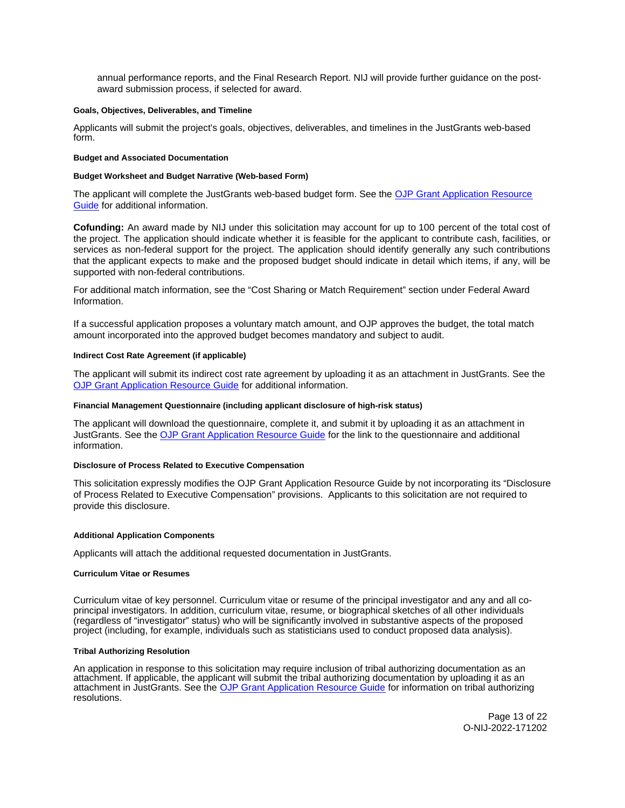<span id="page-12-0"></span>annual performance reports, and the Final Research Report. NIJ will provide further guidance on the postaward submission process, if selected for award.

### **Goals, Objectives, Deliverables, and Timeline**

Applicants will submit the project's goals, objectives, deliverables, and timelines in the JustGrants web-based form.

#### **Budget and Associated Documentation**

#### **Budget Worksheet and Budget Narrative (Web-based Form)**

The applicant will complete the JustGrants web-based budget form. See the [OJP Grant Application Resource](https://www.ojp.gov/funding/apply/ojp-grant-application-resource-guide#budget-prep)  [Guide](https://www.ojp.gov/funding/apply/ojp-grant-application-resource-guide#budget-prep) for additional information.

**Cofunding:** An award made by NIJ under this solicitation may account for up to 100 percent of the total cost of the project. The application should indicate whether it is feasible for the applicant to contribute cash, facilities, or services as non-federal support for the project. The application should identify generally any such contributions that the applicant expects to make and the proposed budget should indicate in detail which items, if any, will be supported with non-federal contributions.

For additional match information, see the "Cost Sharing or Match Requirement" section under Federal Award Information.

If a successful application proposes a voluntary match amount, and OJP approves the budget, the total match amount incorporated into the approved budget becomes mandatory and subject to audit.

### **Indirect Cost Rate Agreement (if applicable)**

The applicant will submit its indirect cost rate agreement by uploading it as an attachment in JustGrants. See the [OJP Grant Application Resource Guide](https://www.ojp.gov/funding/apply/ojp-grant-application-resource-guide#indirect-cost) for additional information.

#### **Financial Management Questionnaire (including applicant disclosure of high-risk status)**

The applicant will download the questionnaire, complete it, and submit it by uploading it as an attachment in JustGrants. See the [OJP Grant Application Resource Guide](https://www.ojp.gov/funding/apply/ojp-grant-application-resource-guide#fm-internal-controls-questionnaire) for the link to the questionnaire and additional information.

### **Disclosure of Process Related to Executive Compensation**

This solicitation expressly modifies the OJP Grant Application Resource Guide by not incorporating its "Disclosure of Process Related to Executive Compensation" provisions. Applicants to this solicitation are not required to provide this disclosure.

### **Additional Application Components**

Applicants will attach the additional requested documentation in JustGrants.

#### **Curriculum Vitae or Resumes**

Curriculum vitae of key personnel. Curriculum vitae or resume of the principal investigator and any and all coprincipal investigators. In addition, curriculum vitae, resume, or biographical sketches of all other individuals (regardless of "investigator" status) who will be significantly involved in substantive aspects of the proposed project (including, for example, individuals such as statisticians used to conduct proposed data analysis).

#### **Tribal Authorizing Resolution**

An application in response to this solicitation may require inclusion of tribal authorizing documentation as an attachment. If applicable, the applicant will submit the tribal authorizing documentation by uploading it as an attachment in JustGrants. See the [OJP Grant Application Resource Guide](https://www.ojp.gov/funding/apply/ojp-grant-application-resource-guide#tribal-authorizing-resolution) for information on tribal authorizing resolutions.

> Page 13 of 22 O-NIJ-2022-171202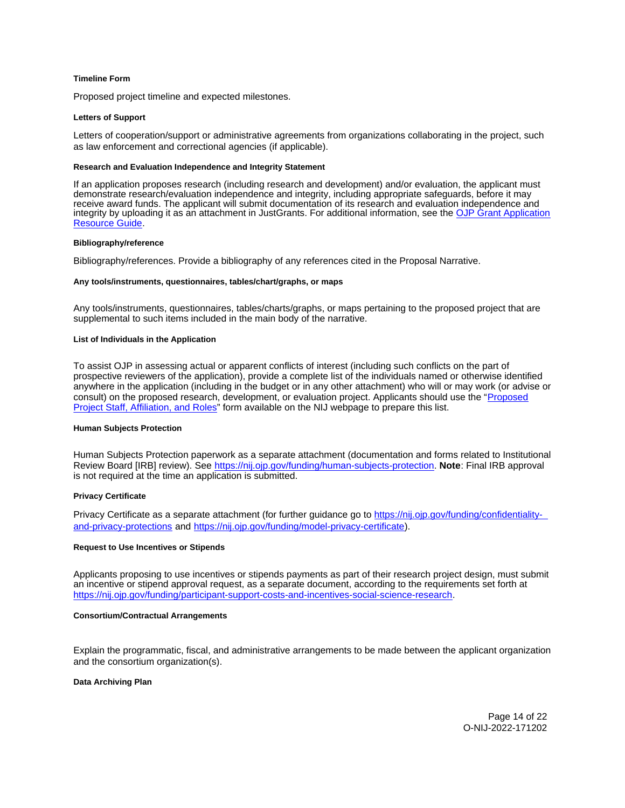### <span id="page-13-0"></span>**Timeline Form**

Proposed project timeline and expected milestones.

#### **Letters of Support**

Letters of cooperation/support or administrative agreements from organizations collaborating in the project, such as law enforcement and correctional agencies (if applicable).

#### **Research and Evaluation Independence and Integrity Statement**

If an application proposes research (including research and development) and/or evaluation, the applicant must demonstrate research/evaluation independence and integrity, including appropriate safeguards, before it may receive award funds. The applicant will submit documentation of its research and evaluation independence and integrity by uploading it as an attachment in JustGrants. For additional information, see the OJP Grant Application [Resource Guide.](https://www.ojp.gov/funding/apply/ojp-grant-application-resource-guide#research-evaluation)

#### **Bibliography/reference**

Bibliography/references. Provide a bibliography of any references cited in the Proposal Narrative.

#### **Any tools/instruments, questionnaires, tables/chart/graphs, or maps**

Any tools/instruments, questionnaires, tables/charts/graphs, or maps pertaining to the proposed project that are supplemental to such items included in the main body of the narrative.

#### **List of Individuals in the Application**

To assist OJP in assessing actual or apparent conflicts of interest (including such conflicts on the part of prospective reviewers of the application), provide a complete list of the individuals named or otherwise identified anywhere in the application (including in the budget or in any other attachment) who will or may work (or advise or consult) on the proposed research, development, or evaluation project. Applicants should use the "Proposed [Project Staff, Affiliation, and Roles"](http://nij.ojp.gov/sites/g/files/xyckuh171/files/media/document/nij-project-staff-template.xlsx) form available on the NIJ webpage to prepare this list.

#### **Human Subjects Protection**

Human Subjects Protection paperwork as a separate attachment (documentation and forms related to Institutional Review Board [IRB] review). See [https://nij.ojp.gov/funding/human-subjects-protection.](https://nij.ojp.gov/funding/human-subjects-protection) **Note**: Final IRB approval is not required at the time an application is submitted.

### **Privacy Certificate**

Privacy Certificate as a separate attachment (for further guidance go to [https://nij.ojp.gov/funding/confidentiality](https://nij.ojp.gov/funding/confidentiality-and-privacy-protections)[and-privacy-protections](https://nij.ojp.gov/funding/confidentiality-and-privacy-protections) and [https://nij.ojp.gov/funding/model-privacy-certificate\)](https://nij.ojp.gov/funding/model-privacy-certificate).

#### **Request to Use Incentives or Stipends**

Applicants proposing to use incentives or stipends payments as part of their research project design, must submit an incentive or stipend approval request, as a separate document, according to the requirements set forth at [https://nij.ojp.gov/funding/participant-support-costs-and-incentives-social-science-research.](https://nij.ojp.gov/funding/participant-support-costs-and-incentives-social-science-research)

#### **Consortium/Contractual Arrangements**

Explain the programmatic, fiscal, and administrative arrangements to be made between the applicant organization and the consortium organization(s).

### **Data Archiving Plan**

Page 14 of 22 O-NIJ-2022-171202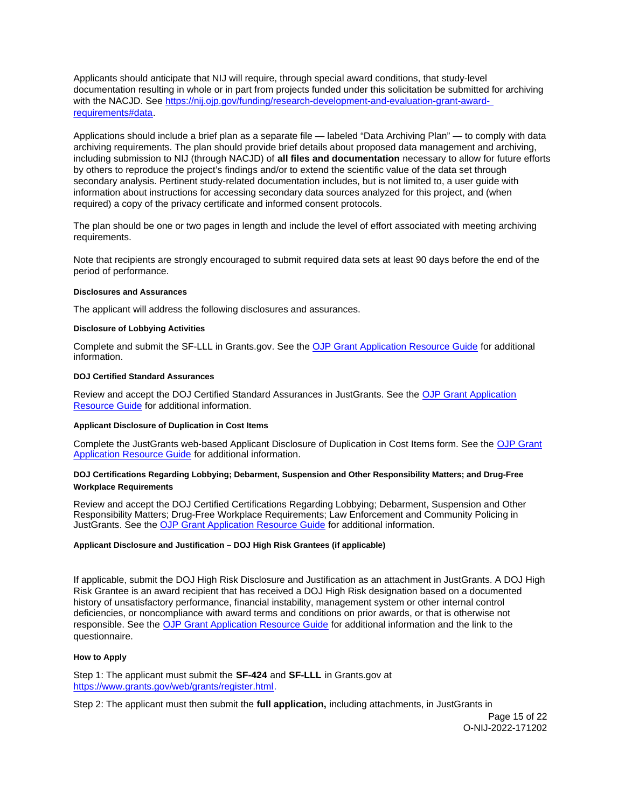<span id="page-14-0"></span>Applicants should anticipate that NIJ will require, through special award conditions, that study-level documentation resulting in whole or in part from projects funded under this solicitation be submitted for archiving with the NACJD. See [https://nij.ojp.gov/funding/research-development-and-evaluation-grant-award](https://nij.ojp.gov/funding/research-development-and-evaluation-grant-award-requirements#data)[requirements#data.](https://nij.ojp.gov/funding/research-development-and-evaluation-grant-award-requirements#data)

Applications should include a brief plan as a separate file — labeled "Data Archiving Plan" — to comply with data archiving requirements. The plan should provide brief details about proposed data management and archiving, including submission to NIJ (through NACJD) of **all files and documentation** necessary to allow for future efforts by others to reproduce the project's findings and/or to extend the scientific value of the data set through secondary analysis. Pertinent study-related documentation includes, but is not limited to, a user guide with information about instructions for accessing secondary data sources analyzed for this project, and (when required) a copy of the privacy certificate and informed consent protocols.

The plan should be one or two pages in length and include the level of effort associated with meeting archiving requirements.

Note that recipients are strongly encouraged to submit required data sets at least 90 days before the end of the period of performance.

### **Disclosures and Assurances**

The applicant will address the following disclosures and assurances.

### **Disclosure of Lobbying Activities**

Complete and submit the SF-LLL in [Grants.gov](https://Grants.gov). See the [OJP Grant Application Resource Guide](https://www.ojp.gov/funding/apply/ojp-grant-application-resource-guide#disclosure-lobby) for additional information.

### **DOJ Certified Standard Assurances**

Review and accept the DOJ Certified Standard Assurances in JustGrants. See the [OJP Grant Application](https://www.ojp.gov/funding/apply/ojp-grant-application-resource-guide#administrative)  [Resource Guide](https://www.ojp.gov/funding/apply/ojp-grant-application-resource-guide#administrative) for additional information.

### **Applicant Disclosure of Duplication in Cost Items**

Complete the JustGrants web-based Applicant Disclosure of Duplication in Cost Items form. See the [OJP Grant](https://www.ojp.gov/funding/apply/ojp-grant-application-resource-guide#applicant-disclosure-pending-applications)  [Application Resource Guide](https://www.ojp.gov/funding/apply/ojp-grant-application-resource-guide#applicant-disclosure-pending-applications) for additional information.

### **DOJ Certifications Regarding Lobbying; Debarment, Suspension and Other Responsibility Matters; and Drug-Free Workplace Requirements**

Review and accept the DOJ Certified Certifications Regarding Lobbying; Debarment, Suspension and Other Responsibility Matters; Drug-Free Workplace Requirements; Law Enforcement and Community Policing in JustGrants. See the [OJP Grant Application Resource Guide](https://www.ojp.gov/funding/apply/ojp-grant-application-resource-guide#administrative) for additional information.

### **Applicant Disclosure and Justification – DOJ High Risk Grantees (if applicable)**

If applicable, submit the DOJ High Risk Disclosure and Justification as an attachment in JustGrants. A DOJ High Risk Grantee is an award recipient that has received a DOJ High Risk designation based on a documented history of unsatisfactory performance, financial instability, management system or other internal control deficiencies, or noncompliance with award terms and conditions on prior awards, or that is otherwise not responsible. See the [OJP Grant Application Resource Guide](https://www.ojp.gov/funding/apply/ojp-grant-application-resource-guide) for additional information and the link to the questionnaire.

### **How to Apply**

Step 1: The applicant must submit the **SF-424** and **SF-LLL** in [Grants.gov](https://Grants.gov) at [https://www.grants.gov/web/grants/register.html.](https://www.grants.gov/web/grants/register.html)

Step 2: The applicant must then submit the **full application,** including attachments, in JustGrants in

Page 15 of 22 O-NIJ-2022-171202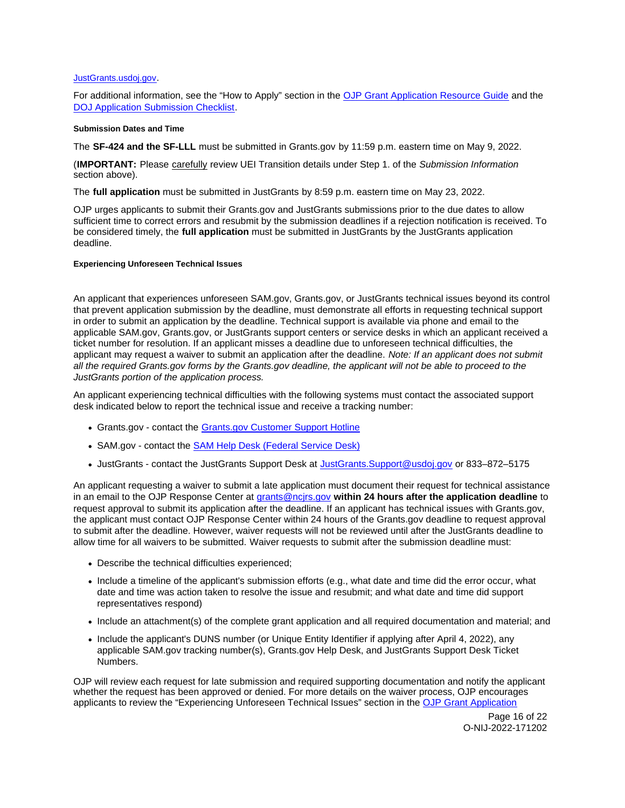### <span id="page-15-0"></span>[JustGrants.usdoj.gov.](https://justicegrants.usdoj.gov/)

For additional information, see the "How to Apply" section in the [OJP Grant Application Resource Guide](https://www.ojp.gov/funding/apply/ojp-grant-application-resource-guide#apply) and the [DOJ Application Submission Checklist.](https://justicegrants.usdoj.gov/sites/g/files/xyckuh296/files/media/document/appln-submission-checklist.pdf)

### **Submission Dates and Time**

The **SF-424 and the SF-LLL** must be submitted in [Grants.gov](https://Grants.gov) by 11:59 p.m. eastern time on May 9, 2022.

(**IMPORTANT:** Please carefully review UEI Transition details under Step 1. of the Submission Information section above).

The **full application** must be submitted in JustGrants by 8:59 p.m. eastern time on May 23, 2022.

OJP urges applicants to submit their [Grants.gov](https://Grants.gov) and JustGrants submissions prior to the due dates to allow sufficient time to correct errors and resubmit by the submission deadlines if a rejection notification is received. To be considered timely, the **full application** must be submitted in JustGrants by the JustGrants application deadline.

### **Experiencing Unforeseen Technical Issues**

An applicant that experiences unforeseen SAM.gov, [Grants.gov](https://Grants.gov), or JustGrants technical issues beyond its control that prevent application submission by the deadline, must demonstrate all efforts in requesting technical support in order to submit an application by the deadline. Technical support is available via phone and email to the applicable SAM.gov, [Grants.gov,](https://Grants.gov) or JustGrants support centers or service desks in which an applicant received a ticket number for resolution. If an applicant misses a deadline due to unforeseen technical difficulties, the applicant may request a waiver to submit an application after the deadline. Note: If an applicant does not submit all the required [Grants.gov](https://Grants.gov) forms by the [Grants.gov](https://Grants.gov) deadline, the applicant will not be able to proceed to the JustGrants portion of the application process.

An applicant experiencing technical difficulties with the following systems must contact the associated support desk indicated below to report the technical issue and receive a tracking number:

- [Grants.gov](https://Grants.gov)  contact the Grants.gov Customer Support Hotline
- SAM.gov contact the [SAM Help Desk \(Federal Service Desk\)](https://www.fsd.gov/gsafsd_sp)
- JustGrants contact the JustGrants Support Desk at [JustGrants.Support@usdoj.gov](mailto:JustGrants.Support@usdoj.gov) or 833–872–5175

An applicant requesting a waiver to submit a late application must document their request for technical assistance in an email to the OJP Response Center at [grants@ncjrs.gov](file:///C:/Users/local_Yehj/INetCache/Content.Outlook/20U4XBR7/grants@ncjrs.gov) **within 24 hours after the application deadline** to request approval to submit its application after the deadline. If an applicant has technical issues with [Grants.gov](https://Grants.gov), the applicant must contact OJP Response Center within 24 hours of the [Grants.gov](https://Grants.gov) deadline to request approval to submit after the deadline. However, waiver requests will not be reviewed until after the JustGrants deadline to allow time for all waivers to be submitted. Waiver requests to submit after the submission deadline must:

- Describe the technical difficulties experienced;
- Include a timeline of the applicant's submission efforts (e.g., what date and time did the error occur, what date and time was action taken to resolve the issue and resubmit; and what date and time did support representatives respond)
- Include an attachment(s) of the complete grant application and all required documentation and material; and
- Include the applicant's DUNS number (or Unique Entity Identifier if applying after April 4, 2022), any applicable SAM.gov tracking number(s), [Grants.gov](https://Grants.gov) Help Desk, and JustGrants Support Desk Ticket Numbers.

OJP will review each request for late submission and required supporting documentation and notify the applicant whether the request has been approved or denied. For more details on the waiver process, OJP encourages applicants to review the "Experiencing Unforeseen Technical Issues" section in the [OJP Grant Application](https://www.ojp.gov/funding/apply/ojp-grant-application-resource-guide#experiencing-unforeseen-technical-issues) 

> Page 16 of 22 O-NIJ-2022-171202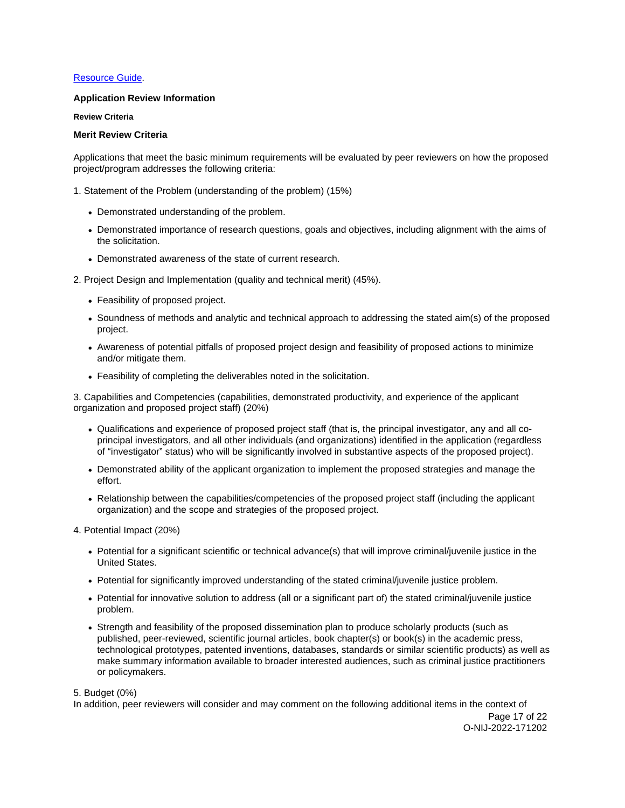# <span id="page-16-0"></span>[Resource Guide](https://www.ojp.gov/funding/apply/ojp-grant-application-resource-guide#experiencing-unforeseen-technical-issues).

# **Application Review Information**

**Review Criteria** 

### **Merit Review Criteria**

Applications that meet the basic minimum requirements will be evaluated by peer reviewers on how the proposed project/program addresses the following criteria:

1. Statement of the Problem (understanding of the problem) (15%)

- Demonstrated understanding of the problem.
- Demonstrated importance of research questions, goals and objectives, including alignment with the aims of the solicitation.
- Demonstrated awareness of the state of current research.

2. Project Design and Implementation (quality and technical merit) (45%).

- Feasibility of proposed project.
- Soundness of methods and analytic and technical approach to addressing the stated aim(s) of the proposed project.
- Awareness of potential pitfalls of proposed project design and feasibility of proposed actions to minimize and/or mitigate them.
- Feasibility of completing the deliverables noted in the solicitation.

3. Capabilities and Competencies (capabilities, demonstrated productivity, and experience of the applicant organization and proposed project staff) (20%)

- Qualifications and experience of proposed project staff (that is, the principal investigator, any and all coprincipal investigators, and all other individuals (and organizations) identified in the application (regardless of "investigator" status) who will be significantly involved in substantive aspects of the proposed project).
- Demonstrated ability of the applicant organization to implement the proposed strategies and manage the effort.
- Relationship between the capabilities/competencies of the proposed project staff (including the applicant organization) and the scope and strategies of the proposed project.

4. Potential Impact (20%)

- Potential for a significant scientific or technical advance(s) that will improve criminal/juvenile justice in the United States.
- Potential for significantly improved understanding of the stated criminal/juvenile justice problem.
- Potential for innovative solution to address (all or a significant part of) the stated criminal/juvenile justice problem.
- Strength and feasibility of the proposed dissemination plan to produce scholarly products (such as published, peer-reviewed, scientific journal articles, book chapter(s) or book(s) in the academic press, technological prototypes, patented inventions, databases, standards or similar scientific products) as well as make summary information available to broader interested audiences, such as criminal justice practitioners or policymakers.

5. Budget (0%)

In addition, peer reviewers will consider and may comment on the following additional items in the context of

Page 17 of 22 O-NIJ-2022-171202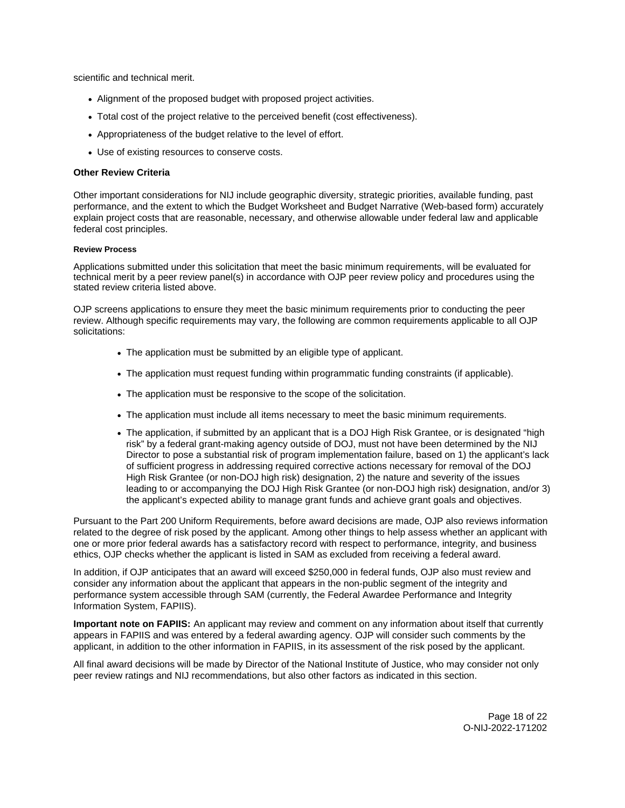<span id="page-17-0"></span>scientific and technical merit.

- Alignment of the proposed budget with proposed project activities.
- Total cost of the project relative to the perceived benefit (cost effectiveness).
- Appropriateness of the budget relative to the level of effort.
- Use of existing resources to conserve costs.

### **Other Review Criteria**

Other important considerations for NIJ include geographic diversity, strategic priorities, available funding, past performance, and the extent to which the Budget Worksheet and Budget Narrative (Web-based form) accurately explain project costs that are reasonable, necessary, and otherwise allowable under federal law and applicable federal cost principles.

### **Review Process**

Applications submitted under this solicitation that meet the basic minimum requirements, will be evaluated for technical merit by a peer review panel(s) in accordance with OJP peer review policy and procedures using the stated review criteria listed above.

OJP screens applications to ensure they meet the basic minimum requirements prior to conducting the peer review. Although specific requirements may vary, the following are common requirements applicable to all OJP solicitations:

- The application must be submitted by an eligible type of applicant.
- The application must request funding within programmatic funding constraints (if applicable).
- The application must be responsive to the scope of the solicitation.
- The application must include all items necessary to meet the basic minimum requirements.
- The application, if submitted by an applicant that is a DOJ High Risk Grantee, or is designated "high risk" by a federal grant-making agency outside of DOJ, must not have been determined by the NIJ Director to pose a substantial risk of program implementation failure, based on 1) the applicant's lack of sufficient progress in addressing required corrective actions necessary for removal of the DOJ High Risk Grantee (or non-DOJ high risk) designation, 2) the nature and severity of the issues leading to or accompanying the DOJ High Risk Grantee (or non-DOJ high risk) designation, and/or 3) the applicant's expected ability to manage grant funds and achieve grant goals and objectives.

Pursuant to the Part 200 Uniform Requirements, before award decisions are made, OJP also reviews information related to the degree of risk posed by the applicant. Among other things to help assess whether an applicant with one or more prior federal awards has a satisfactory record with respect to performance, integrity, and business ethics, OJP checks whether the applicant is listed in SAM as excluded from receiving a federal award.

In addition, if OJP anticipates that an award will exceed \$250,000 in federal funds, OJP also must review and consider any information about the applicant that appears in the non-public segment of the integrity and performance system accessible through SAM (currently, the Federal Awardee Performance and Integrity Information System, FAPIIS).

**Important note on FAPIIS:** An applicant may review and comment on any information about itself that currently appears in FAPIIS and was entered by a federal awarding agency. OJP will consider such comments by the applicant, in addition to the other information in FAPIIS, in its assessment of the risk posed by the applicant.

All final award decisions will be made by Director of the National Institute of Justice, who may consider not only peer review ratings and NIJ recommendations, but also other factors as indicated in this section.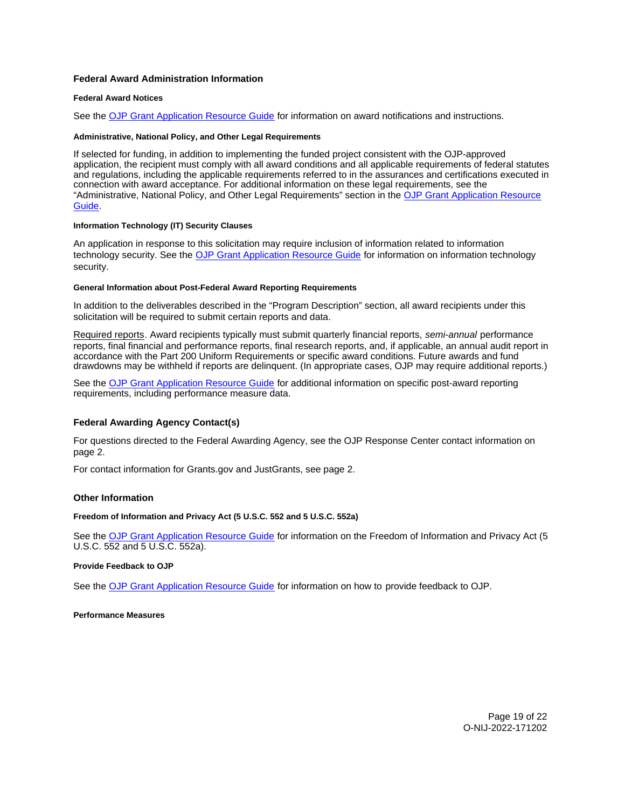### <span id="page-18-0"></span>**Federal Award Administration Information**

### **Federal Award Notices**

See the [OJP Grant Application Resource Guide](https://www.ojp.gov/funding/apply/ojp-grant-application-resource-guide#federal-award-notices) for information on award notifications and instructions.

#### **Administrative, National Policy, and Other Legal Requirements**

If selected for funding, in addition to implementing the funded project consistent with the OJP-approved application, the recipient must comply with all award conditions and all applicable requirements of federal statutes and regulations, including the applicable requirements referred to in the assurances and certifications executed in connection with award acceptance. For additional information on these legal requirements, see the "Administrative, National Policy, and Other Legal Requirements" section in the [OJP Grant Application Resource](https://www.ojp.gov/funding/apply/ojp-grant-application-resource-guide#administrative)  [Guide.](https://www.ojp.gov/funding/apply/ojp-grant-application-resource-guide#administrative)

### **Information Technology (IT) Security Clauses**

An application in response to this solicitation may require inclusion of information related to information technology security. See the [OJP Grant Application Resource Guide](https://www.ojp.gov/funding/apply/ojp-grant-application-resource-guide#information-technology) for information on information technology security.

#### **General Information about Post-Federal Award Reporting Requirements**

In addition to the deliverables described in the "Program Description" section, all award recipients under this solicitation will be required to submit certain reports and data.

Required reports. Award recipients typically must submit quarterly financial reports, semi-annual performance reports, final financial and performance reports, final research reports, and, if applicable, an annual audit report in accordance with the Part 200 Uniform Requirements or specific award conditions. Future awards and fund drawdowns may be withheld if reports are delinquent. (In appropriate cases, OJP may require additional reports.)

See the [OJP Grant Application Resource Guide](https://www.ojp.gov/funding/apply/ojp-grant-application-resource-guide#general-information) for additional information on specific post-award reporting requirements, including performance measure data.

### **Federal Awarding Agency Contact(s)**

For questions directed to the Federal Awarding Agency, see the OJP Response Center contact information on page 2.

For contact information for [Grants.gov](https://Grants.gov) and JustGrants, see page 2.

### **Other Information**

#### **Freedom of Information and Privacy Act (5 U.S.C. 552 and 5 U.S.C. 552a)**

See the [OJP Grant Application Resource Guide](https://www.ojp.gov/funding/apply/ojp-grant-application-resource-guide#foia) for information on the Freedom of Information and Privacy Act (5 U.S.C. 552 and 5 U.S.C. 552a).

#### **Provide Feedback to OJP**

See the [OJP Grant Application Resource Guide](https://www.ojp.gov/funding/apply/ojp-grant-application-resource-guide#feedback) for information on how to provide feedback to OJP.

**Performance Measures**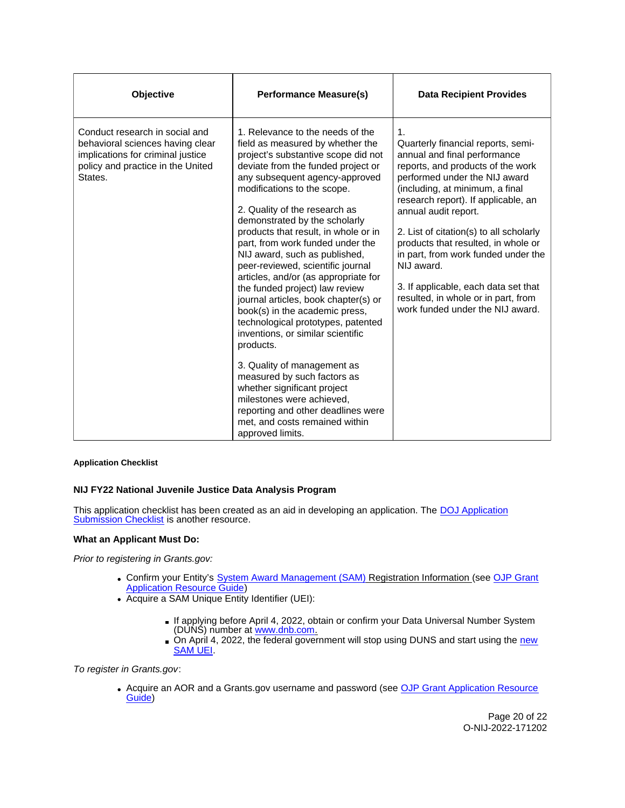<span id="page-19-0"></span>

| Objective                                                                                                                                               | <b>Performance Measure(s)</b>                                                                                                                                                                                                                                                                                                                                                                                                                                                                                                                                                                                                                                                                                                                                                                                                                                                                            | <b>Data Recipient Provides</b>                                                                                                                                                                                                                                                                                                                                                                                                                                                                                         |
|---------------------------------------------------------------------------------------------------------------------------------------------------------|----------------------------------------------------------------------------------------------------------------------------------------------------------------------------------------------------------------------------------------------------------------------------------------------------------------------------------------------------------------------------------------------------------------------------------------------------------------------------------------------------------------------------------------------------------------------------------------------------------------------------------------------------------------------------------------------------------------------------------------------------------------------------------------------------------------------------------------------------------------------------------------------------------|------------------------------------------------------------------------------------------------------------------------------------------------------------------------------------------------------------------------------------------------------------------------------------------------------------------------------------------------------------------------------------------------------------------------------------------------------------------------------------------------------------------------|
| Conduct research in social and<br>behavioral sciences having clear<br>implications for criminal justice<br>policy and practice in the United<br>States. | 1. Relevance to the needs of the<br>field as measured by whether the<br>project's substantive scope did not<br>deviate from the funded project or<br>any subsequent agency-approved<br>modifications to the scope.<br>2. Quality of the research as<br>demonstrated by the scholarly<br>products that result, in whole or in<br>part, from work funded under the<br>NIJ award, such as published,<br>peer-reviewed, scientific journal<br>articles, and/or (as appropriate for<br>the funded project) law review<br>journal articles, book chapter(s) or<br>book(s) in the academic press,<br>technological prototypes, patented<br>inventions, or similar scientific<br>products.<br>3. Quality of management as<br>measured by such factors as<br>whether significant project<br>milestones were achieved,<br>reporting and other deadlines were<br>met, and costs remained within<br>approved limits. | $\mathbf{1}$ .<br>Quarterly financial reports, semi-<br>annual and final performance<br>reports, and products of the work<br>performed under the NIJ award<br>(including, at minimum, a final<br>research report). If applicable, an<br>annual audit report.<br>2. List of citation(s) to all scholarly<br>products that resulted, in whole or<br>in part, from work funded under the<br>NIJ award.<br>3. If applicable, each data set that<br>resulted, in whole or in part, from<br>work funded under the NIJ award. |

### **Application Checklist**

# **NIJ FY22 National Juvenile Justice Data Analysis Program**

This application checklist has been created as an aid in developing an application. The **DOJ Application** [Submission Checklist](https://justicegrants.usdoj.gov/sites/g/files/xyckuh296/files/media/document/appln-submission-checklist.pdf) is another resource.

# **What an Applicant Must Do:**

Prior to registering in [Grants.gov:](https://Grants.gov)

- Confirm your Entity's [System Award Management \(SAM\)](https://sam.gov/SAM/) Registration Information (see OJP Grant **[Application Resource Guide\)](https://www.ojp.gov/funding/apply/ojp-grant-application-resource-guide#apply)**
- Acquire a SAM Unique Entity Identifier (UEI):
	- If applying before April 4, 2022, obtain or confirm your Data Universal Number System (DUNS) number at [www.dnb.com.](http://www.dnb.com)
	- On April 4, 2022, the federal government will stop using DUNS and start using the new [SAM UEI.](https://justicegrants.usdoj.gov/resources/system-for-award-management#transition-to-unique-entity-id-sam)

To register in [Grants.gov](https://Grants.gov):

• Acquire an AOR and a [Grants.gov](https://Grants.gov) username and password (see OJP Grant Application Resource [Guide\)](https://www.ojp.gov/funding/apply/ojp-grant-application-resource-guide#apply)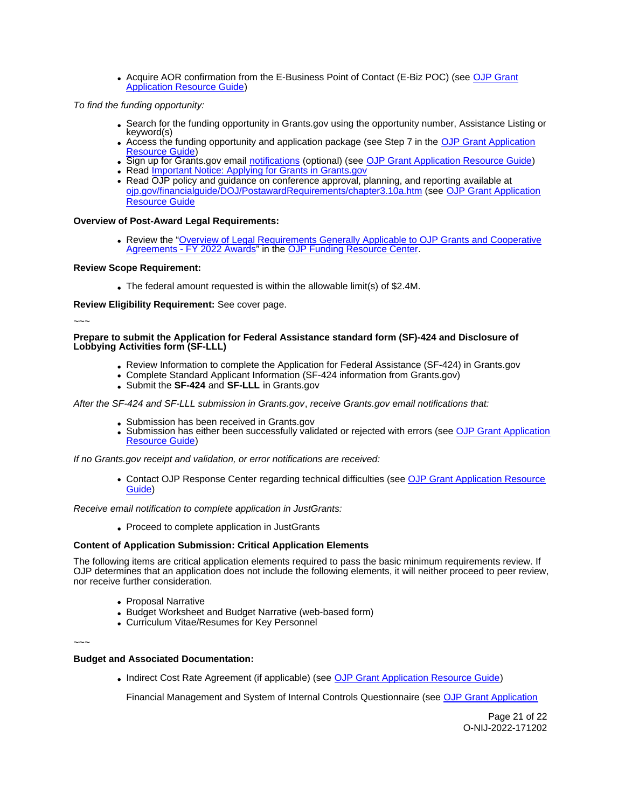Acquire AOR confirmation from the E-Business Point of Contact (E-Biz POC) (see [OJP Grant](https://www.ojp.gov/funding/apply/ojp-grant-application-resource-guide#apply)  [Application Resource Guide\)](https://www.ojp.gov/funding/apply/ojp-grant-application-resource-guide#apply)

To find the funding opportunity:

- Search for the funding opportunity in [Grants.gov](https://Grants.gov) using the opportunity number, Assistance Listing or keyword(s)
- Access the funding opportunity and application package (see Step 7 in the [OJP Grant Application](https://www.ojp.gov/funding/apply/ojp-grant-application-resource-guide#apply)  [Resource Guide\)](https://www.ojp.gov/funding/apply/ojp-grant-application-resource-guide#apply)
- . Sign up for [Grants.gov](https://Grants.gov) email [notifications](https://www.grants.gov/web/grants/manage-subscriptions.html) (optional) (see [OJP Grant Application Resource Guide\)](https://www.ojp.gov/funding/apply/ojp-grant-application-resource-guide#apply)
- Read Important Notice: Applying for Grants in Grants.gov
- Read OJP policy and guidance on conference approval, planning, and reporting available at [ojp.gov/financialguide/DOJ/PostawardRequirements/chapter3.10a.htm](https://ojp.gov/financialguide/DOJ/PostawardRequirements/chapter3.10a.htm) (see [OJP Grant Application](https://www.ojp.gov/funding/apply/ojp-grant-application-resource-guide#prior-approval)  [Resource Guide](https://www.ojp.gov/funding/apply/ojp-grant-application-resource-guide#prior-approval)

### **Overview of Post-Award Legal Requirements:**

Review the "Overview of Legal Requirements Generally Applicable to OJP Grants and Cooperative [Agreements - FY 2022 Awards"](https://www.ojp.gov/funding/explore/legal-overview-awards) in the [OJP Funding Resource Center.](https://www.ojp.gov/funding/explore/legal-overview-awards)

### **Review Scope Requirement:**

The federal amount requested is within the allowable limit(s) of \$2.4M.

**Review Eligibility Requirement:** See cover page.

~~~

#### **Prepare to submit the Application for Federal Assistance standard form (SF)-424 and Disclosure of Lobbying Activities form (SF-LLL)**

- Review Information to complete the Application for Federal Assistance (SF-424) in [Grants.gov](https://Grants.gov)
- Complete Standard Applicant Information (SF-424 information from [Grants.gov\)](https://Grants.gov)
- Submit the **SF-424** and **SF-LLL** in [Grants.gov](https://Grants.gov)

After the SF-424 and SF-LLL submission in [Grants.gov](https://Grants.gov), receive [Grants.gov](https://Grants.gov) email notifications that:

- Submission has been received in [Grants.gov](https://Grants.gov)
- Submission has either been successfully validated or rejected with errors (see OJP Grant Application  $\bullet$ [Resource Guide\)](https://www.ojp.gov/funding/apply/ojp-grant-application-resource-guide#apply)

If no [Grants.gov](https://Grants.gov) receipt and validation, or error notifications are received:

Contact OJP Response Center regarding technical difficulties (see [OJP Grant Application Resource](https://www.ojp.gov/funding/apply/ojp-grant-application-resource-guide#apply)  [Guide\)](https://www.ojp.gov/funding/apply/ojp-grant-application-resource-guide#apply)

Receive email notification to complete application in JustGrants:

Proceed to complete application in JustGrants

### **Content of Application Submission: Critical Application Elements**

The following items are critical application elements required to pass the basic minimum requirements review. If OJP determines that an application does not include the following elements, it will neither proceed to peer review, nor receive further consideration.

- Proposal Narrative
- Budget Worksheet and Budget Narrative (web-based form)
- Curriculum Vitae/Resumes for Key Personnel

~~~

### **Budget and Associated Documentation:**

• Indirect Cost Rate Agreement (if applicable) (see [OJP Grant Application Resource Guide\)](https://www.ojp.gov/funding/apply/ojp-grant-application-resource-guide#indirect-cost)

Financial Management and System of Internal Controls Questionnaire (see [OJP Grant Application](https://www.ojp.gov/funding/apply/ojp-grant-application-resource-guide#fm-internal-controls-questionnaire)